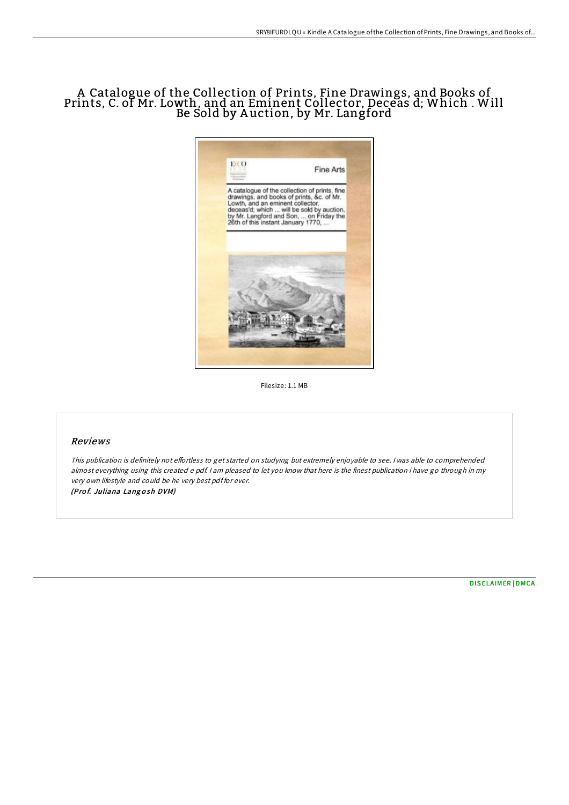# A Catalogue of the Collection of Prints, Fine Drawings, and Books of Prints, C. of Mr. Lowth, and an Eminent Collector, Deceas d; Which . Will Be Sold by A uction, by Mr. Langford



Filesize: 1.1 MB

## Reviews

This publication is definitely not effortless to get started on studying but extremely enjoyable to see. I was able to comprehended almost everything using this created <sup>e</sup> pdf. <sup>I</sup> am pleased to let you know that here is the finest publication i have go through in my very own lifestyle and could be he very best pdf for ever. (Pro f. Juliana Lang <sup>o</sup> sh DVM)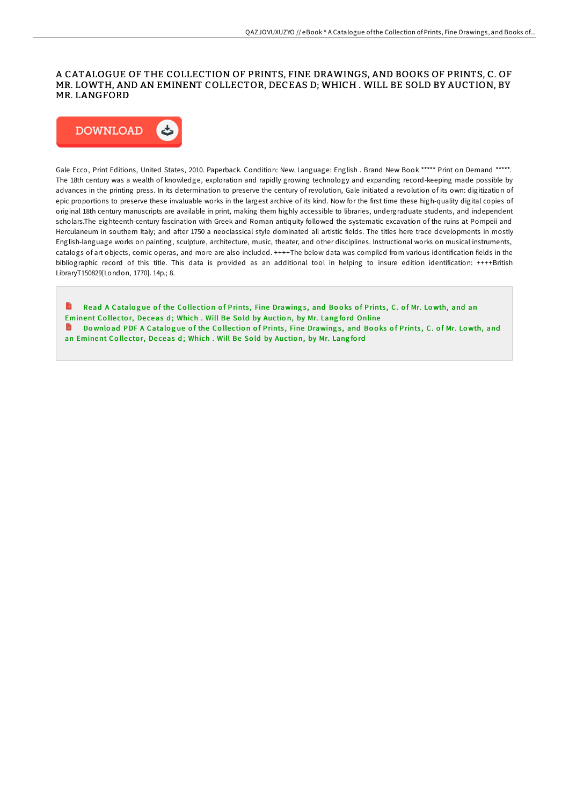## A CATALOGUE OF THE COLLECTION OF PRINTS, FINE DRAWINGS, AND BOOKS OF PRINTS, C. OF MR. LOWTH, AND AN EMINENT COLLECTOR, DECEAS D; WHICH .WILL BE SOLD BY AUCTION, BY MR. LANGFORD



Gale Ecco, Print Editions, United States, 2010. Paperback. Condition: New. Language: English . Brand New Book \*\*\*\*\* Print on Demand \*\*\*\*\*. The 18th century was a wealth of knowledge, exploration and rapidly growing technology and expanding record-keeping made possible by advances in the printing press. In its determination to preserve the century of revolution, Gale initiated a revolution of its own: digitization of epic proportions to preserve these invaluable works in the largest archive of its kind. Now for the first time these high-quality digital copies of original 18th century manuscripts are available in print, making them highly accessible to libraries, undergraduate students, and independent scholars.The eighteenth-century fascination with Greek and Roman antiquity followed the systematic excavation of the ruins at Pompeii and Herculaneum in southern Italy; and after 1750 a neoclassical style dominated all artistic fields. The titles here trace developments in mostly English-language works on painting, sculpture, architecture, music, theater, and other disciplines. Instructional works on musical instruments, catalogs of art objects, comic operas, and more are also included. ++++The below data was compiled from various identification fields in the bibliographic record of this title. This data is provided as an additional tool in helping to insure edition identification: ++++British LibraryT150829[London, 1770]. 14p.; 8.

B Read A Catalogue of the Collection of Prints, Fine Drawings, and Books of Prints, C. of Mr. Lowth, and an [Eminent](http://almighty24.tech/a-catalogue-of-the-collection-of-prints-fine-dra.html) Collector, Deceas d; Which . Will Be Sold by Auction, by Mr. Langford Online Download PDF A Catalogue of the Collection of Prints, Fine [Drawing](http://almighty24.tech/a-catalogue-of-the-collection-of-prints-fine-dra.html)s, and Books of Prints, C. of Mr. Lowth, and an Eminent Collector, Deceas d; Which . Will Be Sold by Auction, by Mr. Langford